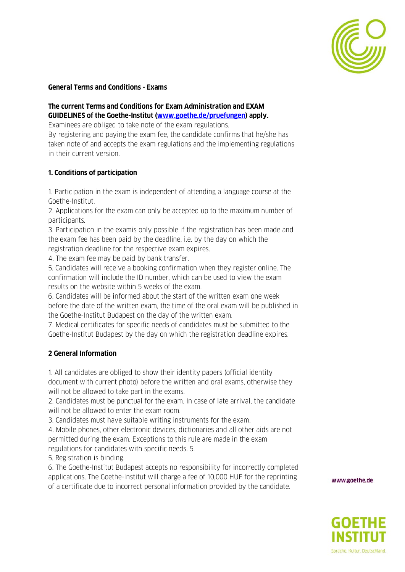

#### **General Terms and Conditions - Exams**

# **The current Terms and Conditions for Exam Administration and EXAM GUIDELINES of the Goethe-Institut [\(www.goethe.de/pruefungen\)](http://www.goethe.de/pruefungen) apply.**

Examinees are obliged to take note of the exam regulations.

By registering and paying the exam fee, the candidate confirms that he/she has taken note of and accepts the exam regulations and the implementing regulations in their current version.

#### **1. Conditions of participation**

1. Participation in the exam is independent of attending a language course at the Goethe-Institut.

2. Applications for the exam can only be accepted up to the maximum number of participants.

3. Participation in the examis only possible if the registration has been made and the exam fee has been paid by the deadline, i.e. by the day on which the registration deadline for the respective exam expires.

4. The exam fee may be paid by bank transfer.

5. Candidates will receive a booking confirmation when they register online. The confirmation will include the ID number, which can be used to view the exam results on the website within 5 weeks of the exam.

6. Candidates will be informed about the start of the written exam one week before the date of the written exam, the time of the oral exam will be published in the Goethe-Institut Budapest on the day of the written exam.

7. Medical certificates for specific needs of candidates must be submitted to the Goethe-Institut Budapest by the day on which the registration deadline expires.

#### **2 General Information**

1. All candidates are obliged to show their identity papers (official identity document with current photo) before the written and oral exams, otherwise they will not be allowed to take part in the exams.

2. Candidates must be punctual for the exam. In case of late arrival, the candidate will not be allowed to enter the exam room.

3. Candidates must have suitable writing instruments for the exam.

4. Mobile phones, other electronic devices, dictionaries and all other aids are not permitted during the exam. Exceptions to this rule are made in the exam regulations for candidates with specific needs. 5.

5. Registration is binding.

6. The Goethe-Institut Budapest accepts no responsibility for incorrectly completed applications. The Goethe-Institut will charge a fee of 10,000 HUF for the reprinting of a certificate due to incorrect personal information provided by the candidate.

www.goethe.de

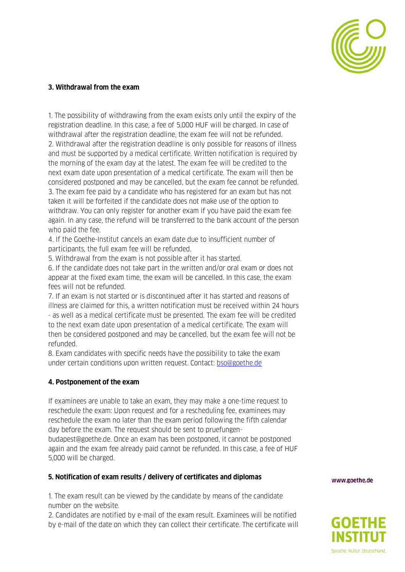

#### **3. Withdrawal from the exam**

1. The possibility of withdrawing from the exam exists only until the expiry of the registration deadline. In this case, a fee of 5,000 HUF will be charged. In case of withdrawal after the registration deadline, the exam fee will not be refunded. 2. Withdrawal after the registration deadline is only possible for reasons of illness and must be supported by a medical certificate. Written notification is required by the morning of the exam day at the latest. The exam fee will be credited to the next exam date upon presentation of a medical certificate. The exam will then be considered postponed and may be cancelled, but the exam fee cannot be refunded. 3. The exam fee paid by a candidate who has registered for an exam but has not taken it will be forfeited if the candidate does not make use of the option to withdraw. You can only register for another exam if you have paid the exam fee again. In any case, the refund will be transferred to the bank account of the person who paid the fee.

4. If the Goethe-Institut cancels an exam date due to insufficient number of participants, the full exam fee will be refunded.

5. Withdrawal from the exam is not possible after it has started.

6. If the candidate does not take part in the written and/or oral exam or does not appear at the fixed exam time, the exam will be cancelled. In this case, the exam fees will not be refunded.

7. If an exam is not started or is discontinued after it has started and reasons of illness are claimed for this, a written notification must be received within 24 hours - as well as a medical certificate must be presented. The exam fee will be credited to the next exam date upon presentation of a medical certificate. The exam will then be considered postponed and may be cancelled, but the exam fee will not be refunded.

8. Exam candidates with specific needs have the possibility to take the exam under certain conditions upon written request. Contact: **bso@goethe.de** 

#### **4. Postponement of the exam**

If examinees are unable to take an exam, they may make a one-time request to reschedule the exam: Upon request and for a rescheduling fee, examinees may reschedule the exam no later than the exam period following the fifth calendar day before the exam. The request should be sent to pruefungenbudapest@goethe.de. Once an exam has been postponed, it cannot be postponed again and the exam fee already paid cannot be refunded. In this case, a fee of HUF 5,000 will be charged.

#### **5. Notification of exam results / delivery of certificates and diplomas**

1. The exam result can be viewed by the candidate by means of the candidate number on the website.

2. Candidates are notified by e-mail of the exam result. Examinees will be notified by e-mail of the date on which they can collect their certificate. The certificate will www.goethe.de